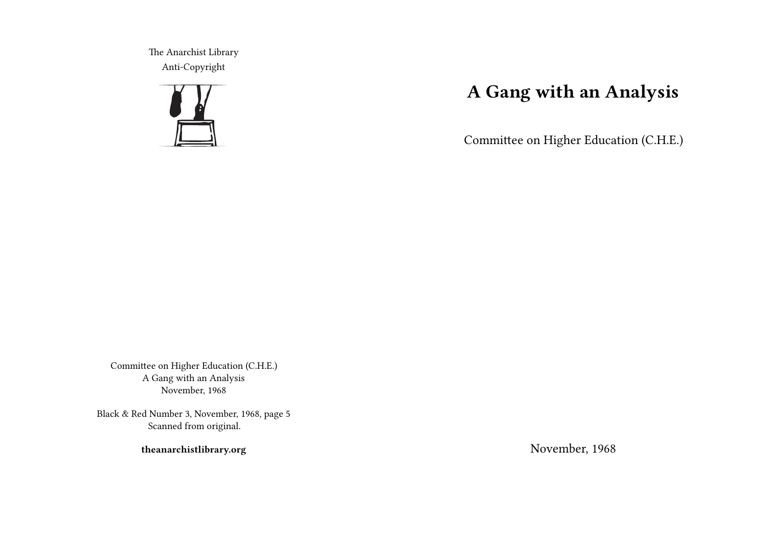The Anarchist Library Anti-Copyright



# **A Gang with an Analysis**

Committee on Higher Education (C.H.E.)

Committee on Higher Education (C.H.E.) A Gang with an Analysis November, 1968

Black & Red Number 3, November, 1968, page 5 Scanned from original.

**theanarchistlibrary.org**

November, 1968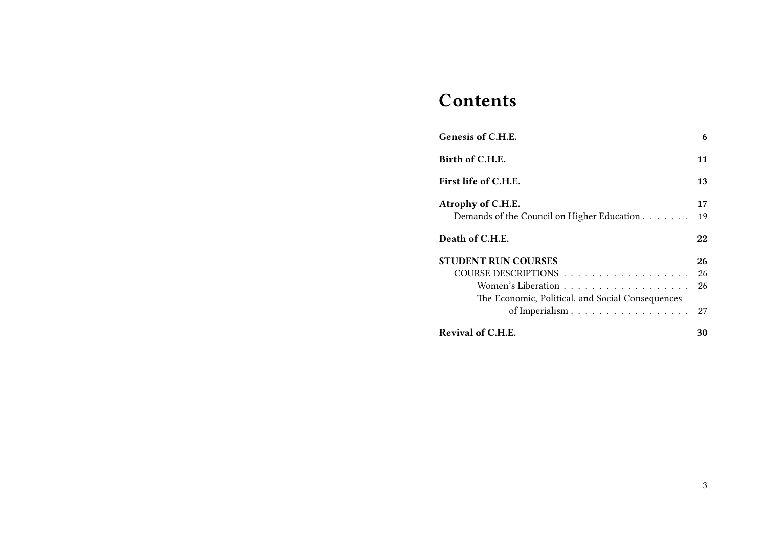## **Contents**

| Genesis of C.H.E.                                                      | 6  |
|------------------------------------------------------------------------|----|
| Birth of C.H.E.                                                        | 11 |
| First life of C.H.E.                                                   | 13 |
| Atrophy of C.H.E.                                                      | 17 |
| Demands of the Council on Higher Education                             | 19 |
| Death of C.H.E.                                                        | 22 |
| <b>STUDENT RUN COURSES</b>                                             | 26 |
| COURSE DESCRIPTIONS                                                    | 26 |
| Women's Liberation<br>The Economic, Political, and Social Consequences | 26 |
| of Imperialism                                                         | 27 |
| Revival of C.H.E.                                                      | 30 |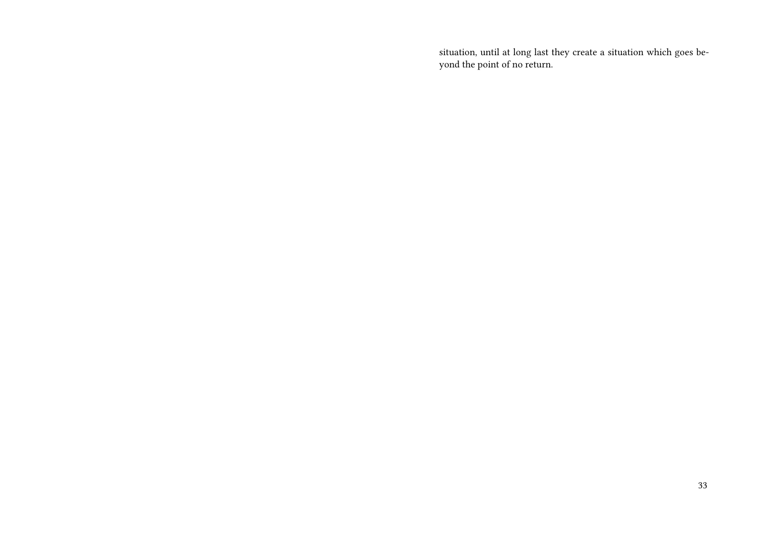situation, until at long last they create a situation which goes beyond the point of no return.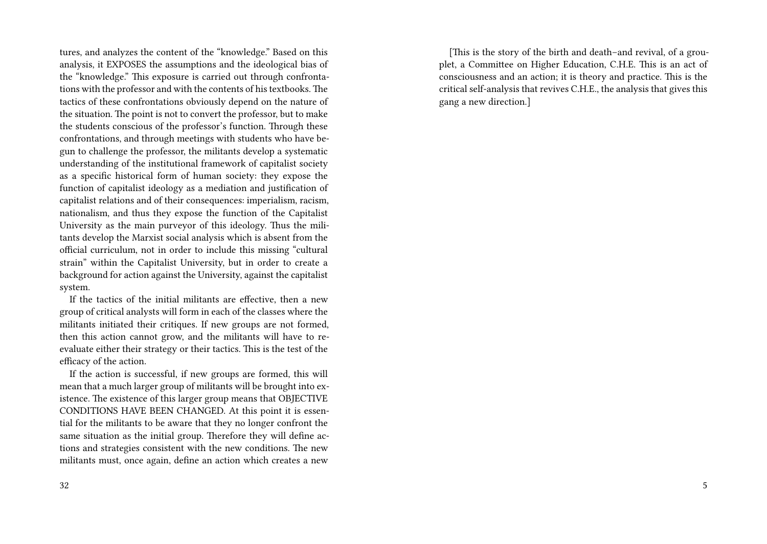tures, and analyzes the content of the "knowledge." Based on this analysis, it EXPOSES the assumptions and the ideological bias of the "knowledge." This exposure is carried out through confrontations with the professor and with the contents of his textbooks. The tactics of these confrontations obviously depend on the nature of the situation. The point is not to convert the professor, but to make the students conscious of the professor's function. Through these confrontations, and through meetings with students who have begun to challenge the professor, the militants develop a systematic understanding of the institutional framework of capitalist society as a specific historical form of human society: they expose the function of capitalist ideology as a mediation and justification of capitalist relations and of their consequences: imperialism, racism, nationalism, and thus they expose the function of the Capitalist University as the main purveyor of this ideology. Thus the militants develop the Marxist social analysis which is absent from the official curriculum, not in order to include this missing "cultural strain" within the Capitalist University, but in order to create a background for action against the University, against the capitalist system.

If the tactics of the initial militants are effective, then a new group of critical analysts will form in each of the classes where the militants initiated their critiques. If new groups are not formed, then this action cannot grow, and the militants will have to reevaluate either their strategy or their tactics. This is the test of the efficacy of the action.

If the action is successful, if new groups are formed, this will mean that a much larger group of militants will be brought into existence. The existence of this larger group means that OBJECTIVE CONDITIONS HAVE BEEN CHANGED. At this point it is essential for the militants to be aware that they no longer confront the same situation as the initial group. Therefore they will define actions and strategies consistent with the new conditions. The new militants must, once again, define an action which creates a new

[This is the story of the birth and death–and revival, of a grouplet, a Committee on Higher Education, C.H.E. This is an act of consciousness and an action; it is theory and practice. This is the critical self-analysis that revives C.H.E., the analysis that gives this gang a new direction.]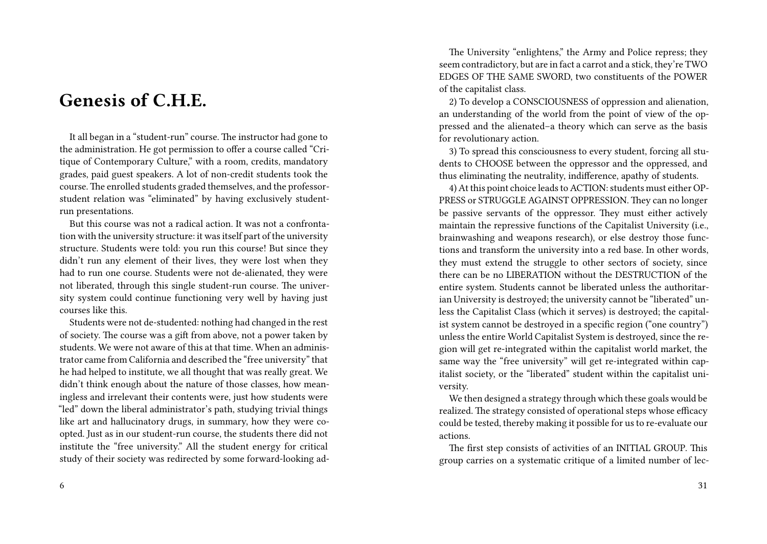### **Genesis of C.H.E.**

It all began in a "student-run" course. The instructor had gone to the administration. He got permission to offer a course called "Critique of Contemporary Culture," with a room, credits, mandatory grades, paid guest speakers. A lot of non-credit students took the course. The enrolled students graded themselves, and the professorstudent relation was "eliminated" by having exclusively studentrun presentations.

But this course was not a radical action. It was not a confrontation with the university structure: it was itself part of the university structure. Students were told: you run this course! But since they didn't run any element of their lives, they were lost when they had to run one course. Students were not de-alienated, they were not liberated, through this single student-run course. The university system could continue functioning very well by having just courses like this.

Students were not de-studented: nothing had changed in the rest of society. The course was a gift from above, not a power taken by students. We were not aware of this at that time. When an administrator came from California and described the "free university" that he had helped to institute, we all thought that was really great. We didn't think enough about the nature of those classes, how meaningless and irrelevant their contents were, just how students were "led" down the liberal administrator's path, studying trivial things like art and hallucinatory drugs, in summary, how they were coopted. Just as in our student-run course, the students there did not institute the "free university." All the student energy for critical study of their society was redirected by some forward-looking ad-

The University "enlightens," the Army and Police repress; they seem contradictory, but are in fact a carrot and a stick, they're TWO EDGES OF THE SAME SWORD, two constituents of the POWER of the capitalist class.

2) To develop a CONSCIOUSNESS of oppression and alienation, an understanding of the world from the point of view of the oppressed and the alienated–a theory which can serve as the basis for revolutionary action.

3) To spread this consciousness to every student, forcing all students to CHOOSE between the oppressor and the oppressed, and thus eliminating the neutrality, indifference, apathy of students.

4) At this point choice leads to ACTION: students must either OP-PRESS or STRUGGLE AGAINST OPPRESSION. They can no longer be passive servants of the oppressor. They must either actively maintain the repressive functions of the Capitalist University (i.e., brainwashing and weapons research), or else destroy those functions and transform the university into a red base. In other words, they must extend the struggle to other sectors of society, since there can be no LIBERATION without the DESTRUCTION of the entire system. Students cannot be liberated unless the authoritarian University is destroyed; the university cannot be "liberated" unless the Capitalist Class (which it serves) is destroyed; the capitalist system cannot be destroyed in a specific region ("one country") unless the entire World Capitalist System is destroyed, since the region will get re-integrated within the capitalist world market, the same way the "free university" will get re-integrated within capitalist society, or the "liberated" student within the capitalist university.

We then designed a strategy through which these goals would be realized. The strategy consisted of operational steps whose efficacy could be tested, thereby making it possible for us to re-evaluate our actions.

The first step consists of activities of an INITIAL GROUP. This group carries on a systematic critique of a limited number of lec-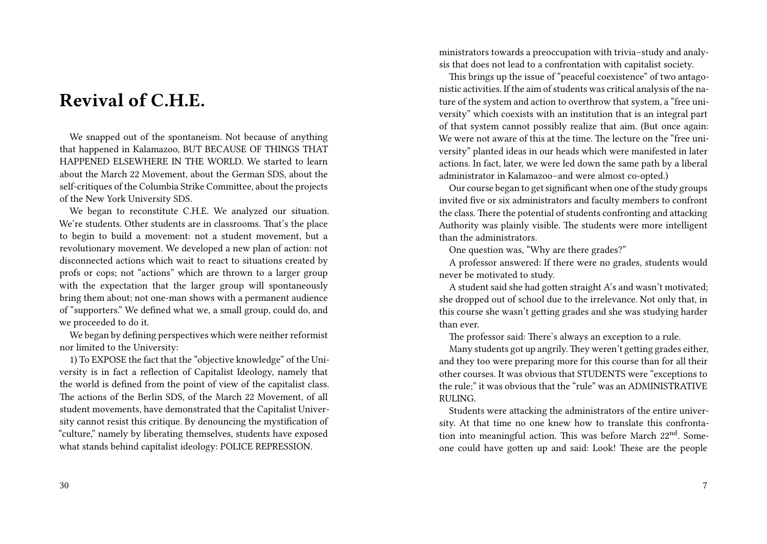### **Revival of C.H.E.**

We snapped out of the spontaneism. Not because of anything that happened in Kalamazoo, BUT BECAUSE OF THINGS THAT HAPPENED ELSEWHERE IN THE WORLD. We started to learn about the March 22 Movement, about the German SDS, about the self-critiques of the Columbia Strike Committee, about the projects of the New York University SDS.

We began to reconstitute C.H.E. We analyzed our situation. We're students. Other students are in classrooms. That's the place to begin to build a movement: not a student movement, but a revolutionary movement. We developed a new plan of action: not disconnected actions which wait to react to situations created by profs or cops; not "actions" which are thrown to a larger group with the expectation that the larger group will spontaneously bring them about; not one-man shows with a permanent audience of "supporters." We defined what we, a small group, could do, and we proceeded to do it.

We began by defining perspectives which were neither reformist nor limited to the University:

1) To EXPOSE the fact that the "objective knowledge" of the University is in fact a reflection of Capitalist Ideology, namely that the world is defined from the point of view of the capitalist class. The actions of the Berlin SDS, of the March 22 Movement, of all student movements, have demonstrated that the Capitalist University cannot resist this critique. By denouncing the mystification of "culture," namely by liberating themselves, students have exposed what stands behind capitalist ideology: POLICE REPRESSION.

30

ministrators towards a preoccupation with trivia–study and analysis that does not lead to a confrontation with capitalist society.

This brings up the issue of "peaceful coexistence" of two antagonistic activities. If the aim of students was critical analysis of the nature of the system and action to overthrow that system, a "free university" which coexists with an institution that is an integral part of that system cannot possibly realize that aim. (But once again: We were not aware of this at the time. The lecture on the "free university" planted ideas in our heads which were manifested in later actions. In fact, later, we were led down the same path by a liberal administrator in Kalamazoo–and were almost co-opted.)

Our course began to get significant when one of the study groups invited five or six administrators and faculty members to confront the class. There the potential of students confronting and attacking Authority was plainly visible. The students were more intelligent than the administrators.

One question was, "Why are there grades?"

A professor answered: If there were no grades, students would never be motivated to study.

A student said she had gotten straight A's and wasn't motivated; she dropped out of school due to the irrelevance. Not only that, in this course she wasn't getting grades and she was studying harder than ever.

The professor said: There's always an exception to a rule.

Many students got up angrily. They weren't getting grades either, and they too were preparing more for this course than for all their other courses. It was obvious that STUDENTS were "exceptions to the rule;" it was obvious that the "rule" was an ADMINISTRATIVE RULING.

Students were attacking the administrators of the entire university. At that time no one knew how to translate this confrontation into meaningful action. This was before March 22<sup>nd</sup>. Someone could have gotten up and said: Look! These are the people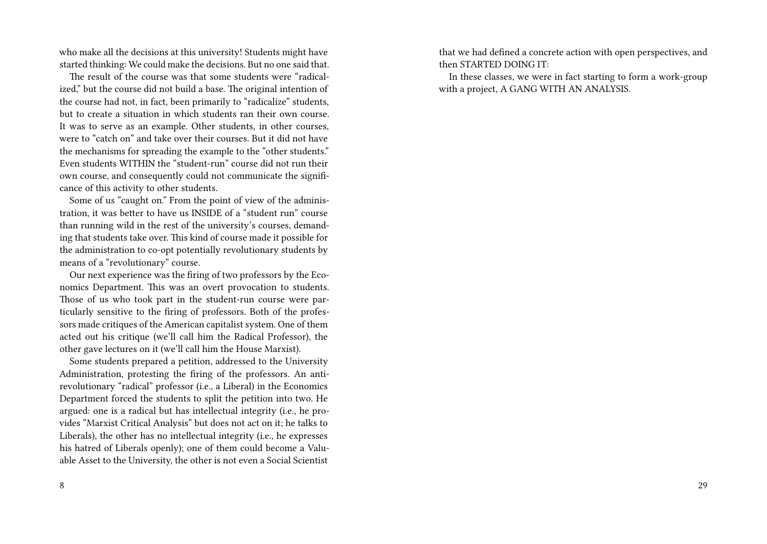who make all the decisions at this university! Students might have started thinking: We could make the decisions. But no one said that.

The result of the course was that some students were "radicalized," but the course did not build a base. The original intention of the course had not, in fact, been primarily to "radicalize" students, but to create a situation in which students ran their own course. It was to serve as an example. Other students, in other courses, were to "catch on" and take over their courses. But it did not have the mechanisms for spreading the example to the "other students." Even students WITHIN the "student-run" course did not run their own course, and consequently could not communicate the significance of this activity to other students.

Some of us "caught on." From the point of view of the administration, it was better to have us INSIDE of a "student run" course than running wild in the rest of the university's courses, demanding that students take over. This kind of course made it possible for the administration to co-opt potentially revolutionary students by means of a "revolutionary" course.

Our next experience was the firing of two professors by the Economics Department. This was an overt provocation to students. Those of us who took part in the student-run course were particularly sensitive to the firing of professors. Both of the professors made critiques of the American capitalist system. One of them acted out his critique (we'll call him the Radical Professor), the other gave lectures on it (we'll call him the House Marxist).

Some students prepared a petition, addressed to the University Administration, protesting the firing of the professors. An antirevolutionary "radical" professor (i.e., a Liberal) in the Economics Department forced the students to split the petition into two. He argued: one is a radical but has intellectual integrity (i.e., he provides "Marxist Critical Analysis" but does not act on it; he talks to Liberals), the other has no intellectual integrity (i.e., he expresses his hatred of Liberals openly); one of them could become a Valuable Asset to the University, the other is not even a Social Scientist that we had defined a concrete action with open perspectives, and then STARTED DOING IT:

In these classes, we were in fact starting to form a work-group with a project, A GANG WITH AN ANALYSIS.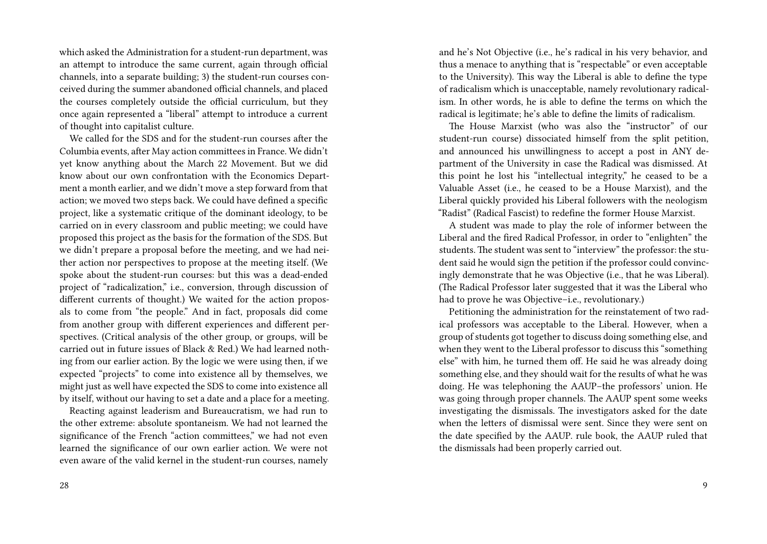which asked the Administration for a student-run department, was an attempt to introduce the same current, again through official channels, into a separate building; 3) the student-run courses conceived during the summer abandoned official channels, and placed the courses completely outside the official curriculum, but they once again represented a "liberal" attempt to introduce a current of thought into capitalist culture.

We called for the SDS and for the student-run courses after the Columbia events, after May action committees in France. We didn't yet know anything about the March 22 Movement. But we did know about our own confrontation with the Economics Department a month earlier, and we didn't move a step forward from that action; we moved two steps back. We could have defined a specific project, like a systematic critique of the dominant ideology, to be carried on in every classroom and public meeting; we could have proposed this project as the basis for the formation of the SDS. But we didn't prepare a proposal before the meeting, and we had neither action nor perspectives to propose at the meeting itself. (We spoke about the student-run courses: but this was a dead-ended project of "radicalization," i.e., conversion, through discussion of different currents of thought.) We waited for the action proposals to come from "the people." And in fact, proposals did come from another group with different experiences and different perspectives. (Critical analysis of the other group, or groups, will be carried out in future issues of Black & Red.) We had learned nothing from our earlier action. By the logic we were using then, if we expected "projects" to come into existence all by themselves, we might just as well have expected the SDS to come into existence all by itself, without our having to set a date and a place for a meeting.

Reacting against leaderism and Bureaucratism, we had run to the other extreme: absolute spontaneism. We had not learned the significance of the French "action committees," we had not even learned the significance of our own earlier action. We were not even aware of the valid kernel in the student-run courses, namely and he's Not Objective (i.e., he's radical in his very behavior, and thus a menace to anything that is "respectable" or even acceptable to the University). This way the Liberal is able to define the type of radicalism which is unacceptable, namely revolutionary radicalism. In other words, he is able to define the terms on which the radical is legitimate; he's able to define the limits of radicalism.

The House Marxist (who was also the "instructor" of our student-run course) dissociated himself from the split petition, and announced his unwillingness to accept a post in ANY department of the University in case the Radical was dismissed. At this point he lost his "intellectual integrity," he ceased to be a Valuable Asset (i.e., he ceased to be a House Marxist), and the Liberal quickly provided his Liberal followers with the neologism "Radist" (Radical Fascist) to redefine the former House Marxist.

A student was made to play the role of informer between the Liberal and the fired Radical Professor, in order to "enlighten" the students. The student was sent to "interview" the professor: the student said he would sign the petition if the professor could convincingly demonstrate that he was Objective (i.e., that he was Liberal). (The Radical Professor later suggested that it was the Liberal who had to prove he was Objective–i.e., revolutionary.)

Petitioning the administration for the reinstatement of two radical professors was acceptable to the Liberal. However, when a group of students got together to discuss doing something else, and when they went to the Liberal professor to discuss this "something else" with him, he turned them off. He said he was already doing something else, and they should wait for the results of what he was doing. He was telephoning the AAUP–the professors' union. He was going through proper channels. The AAUP spent some weeks investigating the dismissals. The investigators asked for the date when the letters of dismissal were sent. Since they were sent on the date specified by the AAUP. rule book, the AAUP ruled that the dismissals had been properly carried out.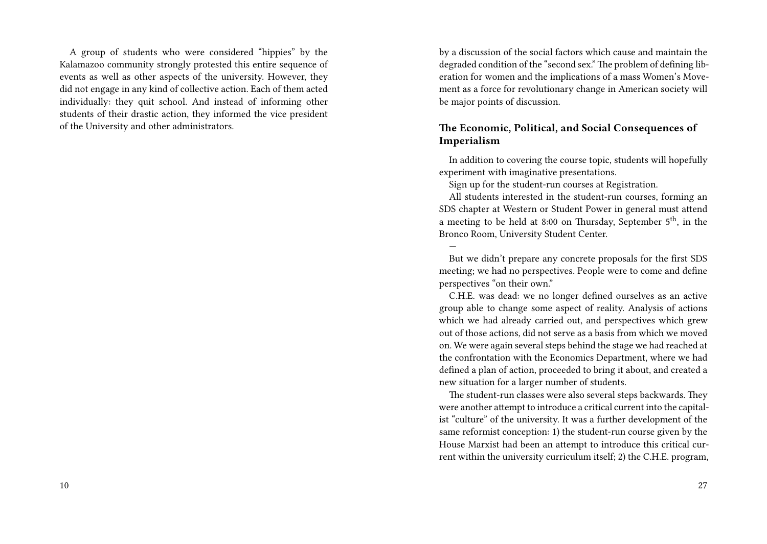A group of students who were considered "hippies" by the Kalamazoo community strongly protested this entire sequence of events as well as other aspects of the university. However, they did not engage in any kind of collective action. Each of them acted individually: they quit school. And instead of informing other students of their drastic action, they informed the vice president of the University and other administrators.

by a discussion of the social factors which cause and maintain the degraded condition of the "second sex." The problem of defining liberation for women and the implications of a mass Women's Movement as a force for revolutionary change in American society will be major points of discussion.

### **The Economic, Political, and Social Consequences of Imperialism**

In addition to covering the course topic, students will hopefully experiment with imaginative presentations.

Sign up for the student-run courses at Registration.

—

All students interested in the student-run courses, forming an SDS chapter at Western or Student Power in general must attend a meeting to be held at 8:00 on Thursday, September  $5<sup>th</sup>$ , in the Bronco Room, University Student Center.

But we didn't prepare any concrete proposals for the first SDS meeting; we had no perspectives. People were to come and define perspectives "on their own."

C.H.E. was dead: we no longer defined ourselves as an active group able to change some aspect of reality. Analysis of actions which we had already carried out, and perspectives which grew out of those actions, did not serve as a basis from which we moved on. We were again several steps behind the stage we had reached at the confrontation with the Economics Department, where we had defined a plan of action, proceeded to bring it about, and created a new situation for a larger number of students.

The student-run classes were also several steps backwards. They were another attempt to introduce a critical current into the capitalist "culture" of the university. It was a further development of the same reformist conception: 1) the student-run course given by the House Marxist had been an attempt to introduce this critical current within the university curriculum itself; 2) the C.H.E. program,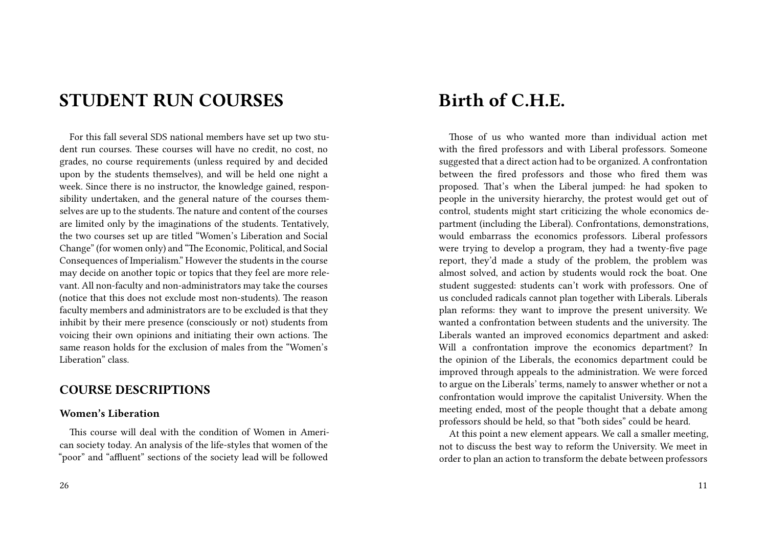### **STUDENT RUN COURSES**

For this fall several SDS national members have set up two student run courses. These courses will have no credit, no cost, no grades, no course requirements (unless required by and decided upon by the students themselves), and will be held one night a week. Since there is no instructor, the knowledge gained, responsibility undertaken, and the general nature of the courses themselves are up to the students. The nature and content of the courses are limited only by the imaginations of the students. Tentatively, the two courses set up are titled "Women's Liberation and Social Change" (for women only) and "The Economic, Political, and Social Consequences of Imperialism." However the students in the course may decide on another topic or topics that they feel are more relevant. All non-faculty and non-administrators may take the courses (notice that this does not exclude most non-students). The reason faculty members and administrators are to be excluded is that they inhibit by their mere presence (consciously or not) students from voicing their own opinions and initiating their own actions. The same reason holds for the exclusion of males from the "Women's Liberation" class.

### **COURSE DESCRIPTIONS**

#### **Women's Liberation**

This course will deal with the condition of Women in American society today. An analysis of the life-styles that women of the "poor" and "affluent" sections of the society lead will be followed

### **Birth of C.H.E.**

Those of us who wanted more than individual action met with the fired professors and with Liberal professors. Someone suggested that a direct action had to be organized. A confrontation between the fired professors and those who fired them was proposed. That's when the Liberal jumped: he had spoken to people in the university hierarchy, the protest would get out of control, students might start criticizing the whole economics department (including the Liberal). Confrontations, demonstrations, would embarrass the economics professors. Liberal professors were trying to develop a program, they had a twenty-five page report, they'd made a study of the problem, the problem was almost solved, and action by students would rock the boat. One student suggested: students can't work with professors. One of us concluded radicals cannot plan together with Liberals. Liberals plan reforms: they want to improve the present university. We wanted a confrontation between students and the university. The Liberals wanted an improved economics department and asked: Will a confrontation improve the economics department? In the opinion of the Liberals, the economics department could be improved through appeals to the administration. We were forced to argue on the Liberals' terms, namely to answer whether or not a confrontation would improve the capitalist University. When the meeting ended, most of the people thought that a debate among professors should be held, so that "both sides" could be heard.

At this point a new element appears. We call a smaller meeting, not to discuss the best way to reform the University. We meet in order to plan an action to transform the debate between professors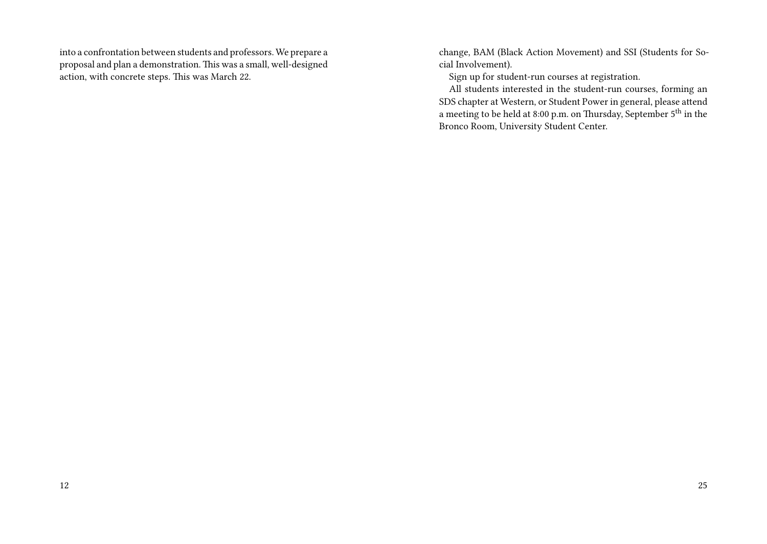into a confrontation between students and professors. We prepare a proposal and plan a demonstration. This was a small, well-designed action, with concrete steps. This was March 22.

change, BAM (Black Action Movement) and SSI (Students for Social Involvement).

Sign up for student-run courses at registration.

All students interested in the student-run courses, forming an SDS chapter at Western, or Student Power in general, please attend a meeting to be held at 8:00 p.m. on Thursday, September 5th in the Bronco Room, University Student Center.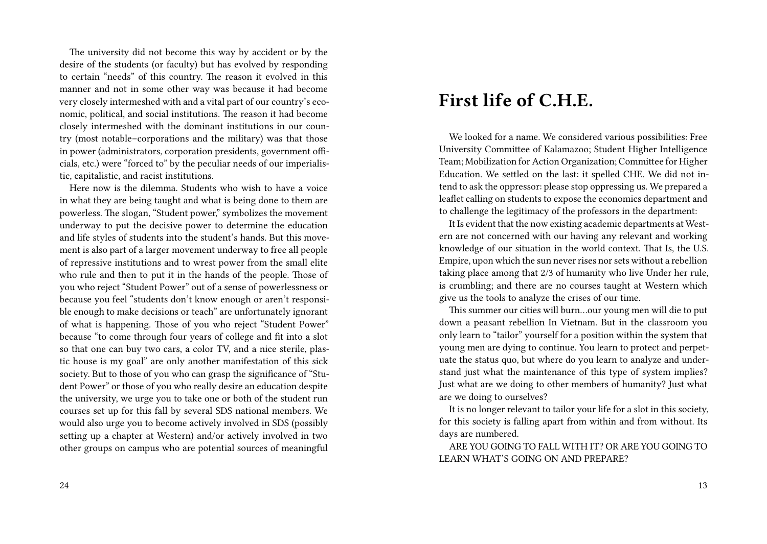The university did not become this way by accident or by the desire of the students (or faculty) but has evolved by responding to certain "needs" of this country. The reason it evolved in this manner and not in some other way was because it had become very closely intermeshed with and a vital part of our country's economic, political, and social institutions. The reason it had become closely intermeshed with the dominant institutions in our country (most notable–corporations and the military) was that those in power (administrators, corporation presidents, government officials, etc.) were "forced to" by the peculiar needs of our imperialistic, capitalistic, and racist institutions.

Here now is the dilemma. Students who wish to have a voice in what they are being taught and what is being done to them are powerless. The slogan, "Student power," symbolizes the movement underway to put the decisive power to determine the education and life styles of students into the student's hands. But this movement is also part of a larger movement underway to free all people of repressive institutions and to wrest power from the small elite who rule and then to put it in the hands of the people. Those of you who reject "Student Power" out of a sense of powerlessness or because you feel "students don't know enough or aren't responsible enough to make decisions or teach" are unfortunately ignorant of what is happening. Those of you who reject "Student Power" because "to come through four years of college and fit into a slot so that one can buy two cars, a color TV, and a nice sterile, plastic house is my goal" are only another manifestation of this sick society. But to those of you who can grasp the significance of "Student Power" or those of you who really desire an education despite the university, we urge you to take one or both of the student run courses set up for this fall by several SDS national members. We would also urge you to become actively involved in SDS (possibly setting up a chapter at Western) and/or actively involved in two other groups on campus who are potential sources of meaningful

## **First life of C.H.E.**

We looked for a name. We considered various possibilities: Free University Committee of Kalamazoo; Student Higher Intelligence Team; Mobilization for Action Organization; Committee for Higher Education. We settled on the last: it spelled CHE. We did not intend to ask the oppressor: please stop oppressing us. We prepared a leaflet calling on students to expose the economics department and to challenge the legitimacy of the professors in the department:

It Is evident that the now existing academic departments at Western are not concerned with our having any relevant and working knowledge of our situation in the world context. That Is, the U.S. Empire, upon which the sun never rises nor sets without a rebellion taking place among that 2/3 of humanity who live Under her rule, is crumbling; and there are no courses taught at Western which give us the tools to analyze the crises of our time.

This summer our cities will burn…our young men will die to put down a peasant rebellion In Vietnam. But in the classroom you only learn to "tailor" yourself for a position within the system that young men are dying to continue. You learn to protect and perpetuate the status quo, but where do you learn to analyze and understand just what the maintenance of this type of system implies? Just what are we doing to other members of humanity? Just what are we doing to ourselves?

It is no longer relevant to tailor your life for a slot in this society, for this society is falling apart from within and from without. Its days are numbered.

ARE YOU GOING TO FALL WITH IT? OR ARE YOU GOING TO LEARN WHAT'S GOING ON AND PREPARE?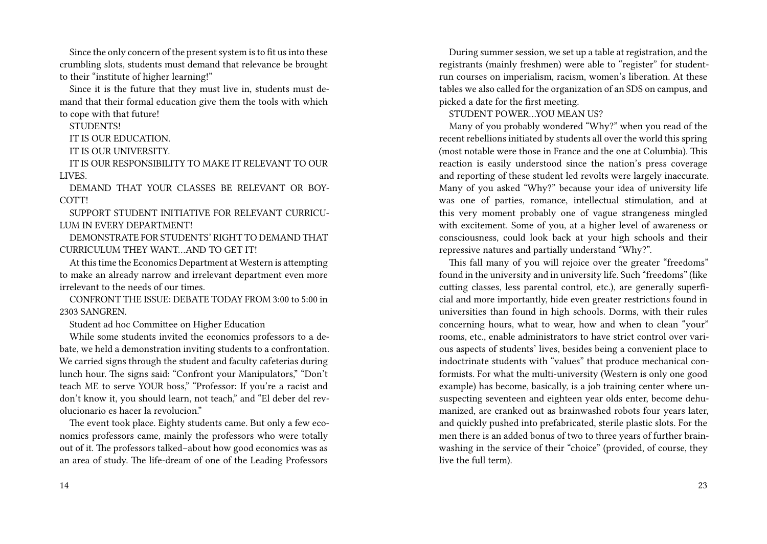Since the only concern of the present system is to fit us into these crumbling slots, students must demand that relevance be brought to their "institute of higher learning!"

Since it is the future that they must live in, students must demand that their formal education give them the tools with which to cope with that future!

STUDENTS!

IT IS OUR EDUCATION.

IT IS OUR UNIVERSITY

IT IS OUR RESPONSIBILITY TO MAKE IT RELEVANT TO OUR LIVES.

DEMAND THAT YOUR CLASSES BE RELEVANT OR BOY-COTT!

SUPPORT STUDENT INITIATIVE FOR RELEVANT CURRICU-LUM IN EVERY DEPARTMENT!

DEMONSTRATE FOR STUDENTS' RIGHT TO DEMAND THAT CURRICULUM THEY WANT…AND TO GET IT!

At this time the Economics Department at Western is attempting to make an already narrow and irrelevant department even more irrelevant to the needs of our times.

CONFRONT THE ISSUE: DEBATE TODAY FROM 3:00 to 5:00 in 2303 SANGREN.

Student ad hoc Committee on Higher Education

While some students invited the economics professors to a debate, we held a demonstration inviting students to a confrontation. We carried signs through the student and faculty cafeterias during lunch hour. The signs said: "Confront your Manipulators," "Don't teach ME to serve YOUR boss," "Professor: If you're a racist and don't know it, you should learn, not teach," and "El deber del revolucionario es hacer la revolucion."

The event took place. Eighty students came. But only a few economics professors came, mainly the professors who were totally out of it. The professors talked–about how good economics was as an area of study. The life-dream of one of the Leading Professors

During summer session, we set up a table at registration, and the registrants (mainly freshmen) were able to "register" for studentrun courses on imperialism, racism, women's liberation. At these tables we also called for the organization of an SDS on campus, and picked a date for the first meeting.

STUDENT POWER…YOU MEAN US?

Many of you probably wondered "Why?" when you read of the recent rebellions initiated by students all over the world this spring (most notable were those in France and the one at Columbia). This reaction is easily understood since the nation's press coverage and reporting of these student led revolts were largely inaccurate. Many of you asked "Why?" because your idea of university life was one of parties, romance, intellectual stimulation, and at this very moment probably one of vague strangeness mingled with excitement. Some of you, at a higher level of awareness or consciousness, could look back at your high schools and their repressive natures and partially understand "Why?".

This fall many of you will rejoice over the greater "freedoms" found in the university and in university life. Such "freedoms" (like cutting classes, less parental control, etc.), are generally superficial and more importantly, hide even greater restrictions found in universities than found in high schools. Dorms, with their rules concerning hours, what to wear, how and when to clean "your" rooms, etc., enable administrators to have strict control over various aspects of students' lives, besides being a convenient place to indoctrinate students with "values" that produce mechanical conformists. For what the multi-university (Western is only one good example) has become, basically, is a job training center where unsuspecting seventeen and eighteen year olds enter, become dehumanized, are cranked out as brainwashed robots four years later, and quickly pushed into prefabricated, sterile plastic slots. For the men there is an added bonus of two to three years of further brainwashing in the service of their "choice" (provided, of course, they live the full term).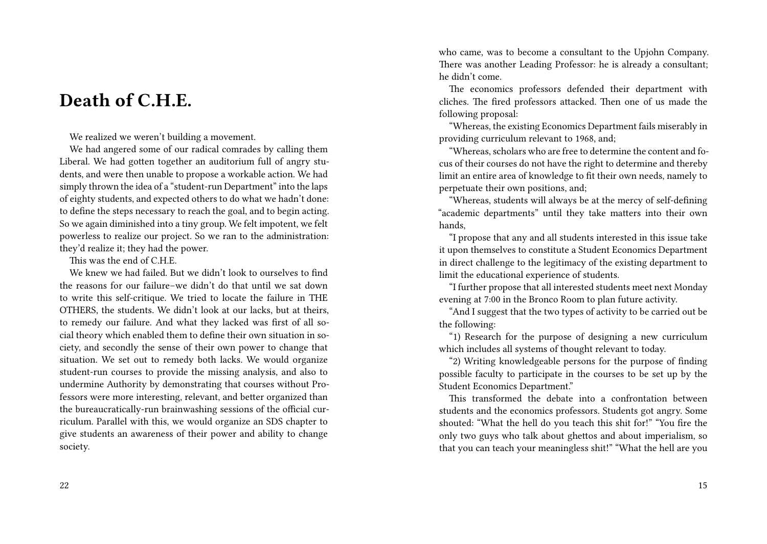### **Death of C.H.E.**

We realized we weren't building a movement.

We had angered some of our radical comrades by calling them Liberal. We had gotten together an auditorium full of angry students, and were then unable to propose a workable action. We had simply thrown the idea of a "student-run Department" into the laps of eighty students, and expected others to do what we hadn't done: to define the steps necessary to reach the goal, and to begin acting. So we again diminished into a tiny group. We felt impotent, we felt powerless to realize our project. So we ran to the administration: they'd realize it; they had the power.

This was the end of C.H.E.

We knew we had failed. But we didn't look to ourselves to find the reasons for our failure–we didn't do that until we sat down to write this self-critique. We tried to locate the failure in THE OTHERS, the students. We didn't look at our lacks, but at theirs, to remedy our failure. And what they lacked was first of all social theory which enabled them to define their own situation in society, and secondly the sense of their own power to change that situation. We set out to remedy both lacks. We would organize student-run courses to provide the missing analysis, and also to undermine Authority by demonstrating that courses without Professors were more interesting, relevant, and better organized than the bureaucratically-run brainwashing sessions of the official curriculum. Parallel with this, we would organize an SDS chapter to give students an awareness of their power and ability to change society.

who came, was to become a consultant to the Upjohn Company. There was another Leading Professor: he is already a consultant; he didn't come.

The economics professors defended their department with cliches. The fired professors attacked. Then one of us made the following proposal:

"Whereas, the existing Economics Department fails miserably in providing curriculum relevant to 1968, and;

"Whereas, scholars who are free to determine the content and focus of their courses do not have the right to determine and thereby limit an entire area of knowledge to fit their own needs, namely to perpetuate their own positions, and;

"Whereas, students will always be at the mercy of self-defining "academic departments" until they take matters into their own hands,

"I propose that any and all students interested in this issue take it upon themselves to constitute a Student Economics Department in direct challenge to the legitimacy of the existing department to limit the educational experience of students.

"I further propose that all interested students meet next Monday evening at 7:00 in the Bronco Room to plan future activity.

"And I suggest that the two types of activity to be carried out be the following:

"1) Research for the purpose of designing a new curriculum which includes all systems of thought relevant to today.

"2) Writing knowledgeable persons for the purpose of finding possible faculty to participate in the courses to be set up by the Student Economics Department."

This transformed the debate into a confrontation between students and the economics professors. Students got angry. Some shouted: "What the hell do you teach this shit for!" "You fire the only two guys who talk about ghettos and about imperialism, so that you can teach your meaningless shit!" "What the hell are you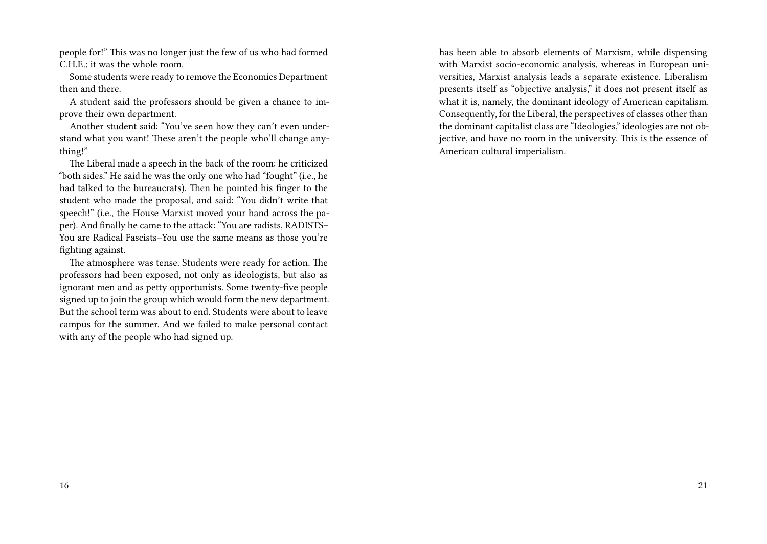people for!" This was no longer just the few of us who had formed C.H.E.; it was the whole room.

Some students were ready to remove the Economics Department then and there.

A student said the professors should be given a chance to improve their own department.

Another student said: "You've seen how they can't even understand what you want! These aren't the people who'll change anything!"

The Liberal made a speech in the back of the room: he criticized "both sides." He said he was the only one who had "fought" (i.e., he had talked to the bureaucrats). Then he pointed his finger to the student who made the proposal, and said: "You didn't write that speech!" (i.e., the House Marxist moved your hand across the paper). And finally he came to the attack: "You are radists, RADISTS– You are Radical Fascists–You use the same means as those you're fighting against.

The atmosphere was tense. Students were ready for action. The professors had been exposed, not only as ideologists, but also as ignorant men and as petty opportunists. Some twenty-five people signed up to join the group which would form the new department. But the school term was about to end. Students were about to leave campus for the summer. And we failed to make personal contact with any of the people who had signed up.

has been able to absorb elements of Marxism, while dispensing with Marxist socio-economic analysis, whereas in European universities, Marxist analysis leads a separate existence. Liberalism presents itself as "objective analysis," it does not present itself as what it is, namely, the dominant ideology of American capitalism. Consequently, for the Liberal, the perspectives of classes other than the dominant capitalist class are "Ideologies," ideologies are not objective, and have no room in the university. This is the essence of American cultural imperialism.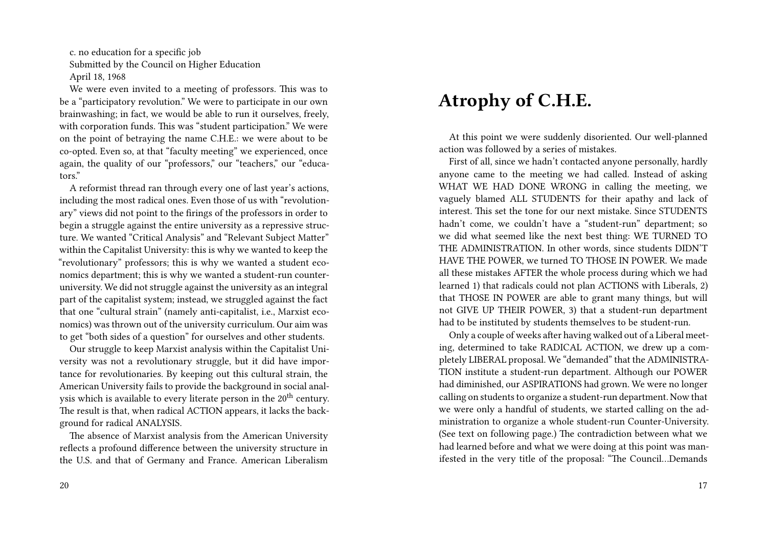c. no education for a specific job Submitted by the Council on Higher Education April 18, 1968

We were even invited to a meeting of professors. This was to be a "participatory revolution." We were to participate in our own brainwashing; in fact, we would be able to run it ourselves, freely, with corporation funds. This was "student participation." We were on the point of betraying the name C.H.E.: we were about to be co-opted. Even so, at that "faculty meeting" we experienced, once again, the quality of our "professors," our "teachers," our "educators."

A reformist thread ran through every one of last year's actions, including the most radical ones. Even those of us with "revolutionary" views did not point to the firings of the professors in order to begin a struggle against the entire university as a repressive structure. We wanted "Critical Analysis" and "Relevant Subject Matter" within the Capitalist University: this is why we wanted to keep the "revolutionary" professors; this is why we wanted a student economics department; this is why we wanted a student-run counteruniversity. We did not struggle against the university as an integral part of the capitalist system; instead, we struggled against the fact that one "cultural strain" (namely anti-capitalist, i.e., Marxist economics) was thrown out of the university curriculum. Our aim was to get "both sides of a question" for ourselves and other students.

Our struggle to keep Marxist analysis within the Capitalist University was not a revolutionary struggle, but it did have importance for revolutionaries. By keeping out this cultural strain, the American University fails to provide the background in social analysis which is available to every literate person in the  $20<sup>th</sup>$  century. The result is that, when radical ACTION appears, it lacks the background for radical ANALYSIS.

The absence of Marxist analysis from the American University reflects a profound difference between the university structure in the U.S. and that of Germany and France. American Liberalism

### **Atrophy of C.H.E.**

At this point we were suddenly disoriented. Our well-planned action was followed by a series of mistakes.

First of all, since we hadn't contacted anyone personally, hardly anyone came to the meeting we had called. Instead of asking WHAT WE HAD DONE WRONG in calling the meeting, we vaguely blamed ALL STUDENTS for their apathy and lack of interest. This set the tone for our next mistake. Since STUDENTS hadn't come, we couldn't have a "student-run" department; so we did what seemed like the next best thing: WE TURNED TO THE ADMINISTRATION. In other words, since students DIDN'T HAVE THE POWER, we turned TO THOSE IN POWER. We made all these mistakes AFTER the whole process during which we had learned 1) that radicals could not plan ACTIONS with Liberals, 2) that THOSE IN POWER are able to grant many things, but will not GIVE UP THEIR POWER, 3) that a student-run department had to be instituted by students themselves to be student-run.

Only a couple of weeks after having walked out of a Liberal meeting, determined to take RADICAL ACTION, we drew up a completely LIBERAL proposal. We "demanded" that the ADMINISTRA-TION institute a student-run department. Although our POWER had diminished, our ASPIRATIONS had grown. We were no longer calling on students to organize a student-run department. Now that we were only a handful of students, we started calling on the administration to organize a whole student-run Counter-University. (See text on following page.) The contradiction between what we had learned before and what we were doing at this point was manifested in the very title of the proposal: "The Council…Demands